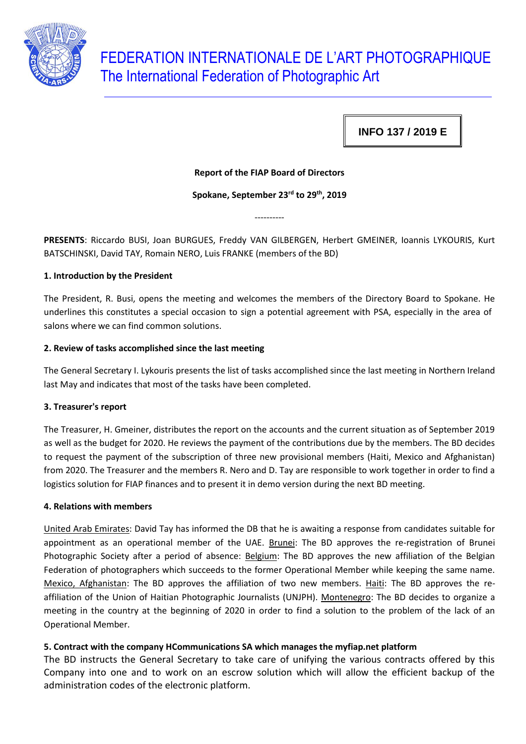

# FEDERATION INTERNATIONALE DE L'ART PHOTOGRAPHIQUE The International Federation of Photographic Art

**INFO 137 / 2019 E**

# **Report of the FIAP Board of Directors**

## **Spokane, September 23rd to 29th, 2019**

----------

**PRESENTS**: Riccardo BUSI, Joan BURGUES, Freddy VAN GILBERGEN, Herbert GMEINER, Ioannis LYKOURIS, Kurt BATSCHINSKI, David TAY, Romain NERO, Luis FRANKE (members of the BD)

## **1. Introduction by the President**

The President, R. Busi, opens the meeting and welcomes the members of the Directory Board to Spokane. He underlines this constitutes a special occasion to sign a potential agreement with PSA, especially in the area of salons where we can find common solutions.

## **2. Review of tasks accomplished since the last meeting**

The General Secretary I. Lykouris presents the list of tasks accomplished since the last meeting in Northern Ireland last May and indicates that most of the tasks have been completed.

#### **3. Treasurer's report**

The Treasurer, H. Gmeiner, distributes the report on the accounts and the current situation as of September 2019 as well as the budget for 2020. He reviews the payment of the contributions due by the members. The BD decides to request the payment of the subscription of three new provisional members (Haiti, Mexico and Afghanistan) from 2020. The Treasurer and the members R. Nero and D. Tay are responsible to work together in order to find a logistics solution for FIAP finances and to present it in demo version during the next BD meeting.

#### **4. Relations with members**

United Arab Emirates: David Tay has informed the DB that he is awaiting a response from candidates suitable for appointment as an operational member of the UAE. Brunei: The BD approves the re-registration of Brunei Photographic Society after a period of absence: Belgium: The BD approves the new affiliation of the Belgian Federation of photographers which succeeds to the former Operational Member while keeping the same name. Mexico, Afghanistan: The BD approves the affiliation of two new members. Haiti: The BD approves the reaffiliation of the Union of Haitian Photographic Journalists (UNJPH). Montenegro: The BD decides to organize a meeting in the country at the beginning of 2020 in order to find a solution to the problem of the lack of an Operational Member.

# **5. Contract with the company HCommunications SA which manages the myfiap.net platform**

The BD instructs the General Secretary to take care of unifying the various contracts offered by this Company into one and to work on an escrow solution which will allow the efficient backup of the administration codes of the electronic platform.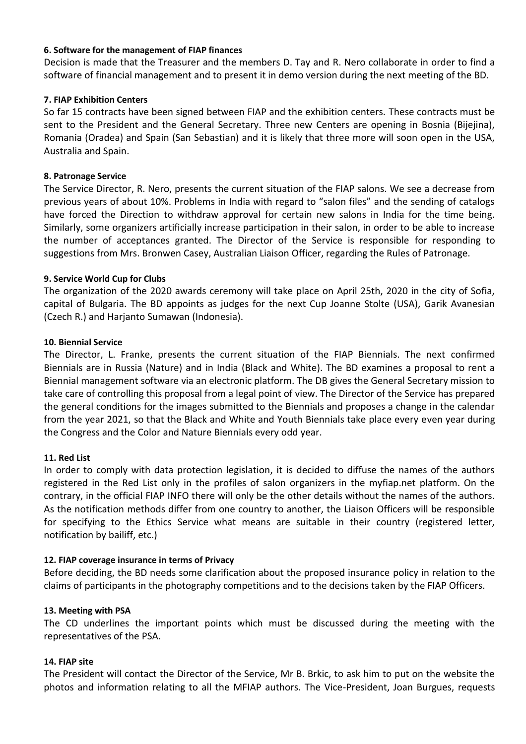# **6. Software for the management of FIAP finances**

Decision is made that the Treasurer and the members D. Tay and R. Nero collaborate in order to find a software of financial management and to present it in demo version during the next meeting of the BD.

# **7. FIAP Exhibition Centers**

So far 15 contracts have been signed between FIAP and the exhibition centers. These contracts must be sent to the President and the General Secretary. Three new Centers are opening in Bosnia (Bijejina), Romania (Oradea) and Spain (San Sebastian) and it is likely that three more will soon open in the USA, Australia and Spain.

## **8. Patronage Service**

The Service Director, R. Nero, presents the current situation of the FIAP salons. We see a decrease from previous years of about 10%. Problems in India with regard to "salon files" and the sending of catalogs have forced the Direction to withdraw approval for certain new salons in India for the time being. Similarly, some organizers artificially increase participation in their salon, in order to be able to increase the number of acceptances granted. The Director of the Service is responsible for responding to suggestions from Mrs. Bronwen Casey, Australian Liaison Officer, regarding the Rules of Patronage.

## **9. Service World Cup for Clubs**

The organization of the 2020 awards ceremony will take place on April 25th, 2020 in the city of Sofia, capital of Bulgaria. The BD appoints as judges for the next Cup Joanne Stolte (USA), Garik Avanesian (Czech R.) and Harjanto Sumawan (Indonesia).

## **10. Biennial Service**

The Director, L. Franke, presents the current situation of the FIAP Biennials. The next confirmed Biennials are in Russia (Nature) and in India (Black and White). The BD examines a proposal to rent a Biennial management software via an electronic platform. The DB gives the General Secretary mission to take care of controlling this proposal from a legal point of view. The Director of the Service has prepared the general conditions for the images submitted to the Biennials and proposes a change in the calendar from the year 2021, so that the Black and White and Youth Biennials take place every even year during the Congress and the Color and Nature Biennials every odd year.

#### **11. Red List**

In order to comply with data protection legislation, it is decided to diffuse the names of the authors registered in the Red List only in the profiles of salon organizers in the myfiap.net platform. On the contrary, in the official FIAP INFO there will only be the other details without the names of the authors. As the notification methods differ from one country to another, the Liaison Officers will be responsible for specifying to the Ethics Service what means are suitable in their country (registered letter, notification by bailiff, etc.)

#### **12. FIAP coverage insurance in terms of Privacy**

Before deciding, the BD needs some clarification about the proposed insurance policy in relation to the claims of participants in the photography competitions and to the decisions taken by the FIAP Officers.

#### **13. Meeting with PSA**

The CD underlines the important points which must be discussed during the meeting with the representatives of the PSA.

#### **14. FIAP site**

The President will contact the Director of the Service, Mr B. Brkic, to ask him to put on the website the photos and information relating to all the MFIAP authors. The Vice-President, Joan Burgues, requests